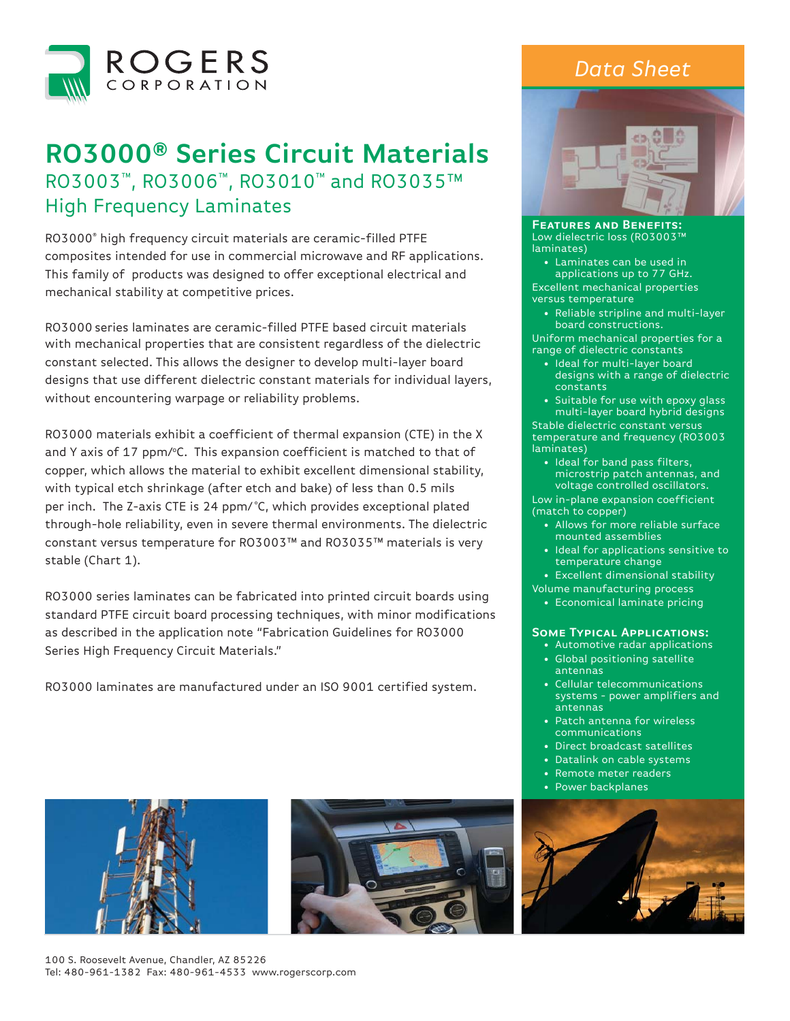

# **RO3000® Series Circuit Materials** RO3003™, RO3006™, RO3010™ and RO3035™ High Frequency Laminates

RO3000<sup>®</sup> high frequency circuit materials are ceramic-filled PTFE composites intended for use in commercial microwave and RF applications. This family of products was designed to offer exceptional electrical and mechanical stability at competitive prices.

RO3000series laminates are ceramic-fi lled PTFE based circuit materials with mechanical properties that are consistent regardless of the dielectric constant selected. This allows the designer to develop multi-layer board designs that use different dielectric constant materials for individual layers, without encountering warpage or reliability problems.

RO3000 materials exhibit a coefficient of thermal expansion (CTE) in the X and Y axis of 17 ppm/°C. This expansion coefficient is matched to that of copper, which allows the material to exhibit excellent dimensional stability, with typical etch shrinkage (after etch and bake) of less than 0.5 mils per inch. The Z-axis CTE is 24 ppm/ °C, which provides exceptional plated through-hole reliability, even in severe thermal environments. The dielectric constant versus temperature for RO3003™ and RO3035™ materials is very stable (Chart 1).

RO3000 series laminates can be fabricated into printed circuit boards using standard PTFE circuit board processing techniques, with minor modifications as described in the application note "Fabrication Guidelines for RO3000 Series High Frequency Circuit Materials."

RO3000 laminates are manufactured under an ISO 9001 certified system.









**FEATURES AND BENEFITS:** Low dielectric loss (RO3003™ laminates)

- Laminates can be used in applications up to 77 GHz. Excellent mechanical properties
- versus temperature
- Reliable stripline and multi-layer board constructions.

Uniform mechanical properties for a range of dielectric constants

- Ideal for multi-layer board designs with a range of dielectric constants
- Suitable for use with epoxy glass multi-layer board hybrid designs

Stable dielectric constant versus temperature and frequency (RO3003 laminates)

• Ideal for band pass filters, microstrip patch antennas, and voltage controlled oscillators.

Low in-plane expansion coefficient (match to copper)

- Allows for more reliable surface mounted assemblies
- Ideal for applications sensitive to temperature change

• Excellent dimensional stability

- Volume manufacturing process • Economical laminate pricing
	-

#### **Some Typical Applications:**

- Automotive radar applications
- Global positioning satellite antennas
- Cellular telecommunications systems - power amplifiers and antennas
- Patch antenna for wireless communications
- Direct broadcast satellites
- Datalink on cable systems
- Remote meter readers
- Power backplanes

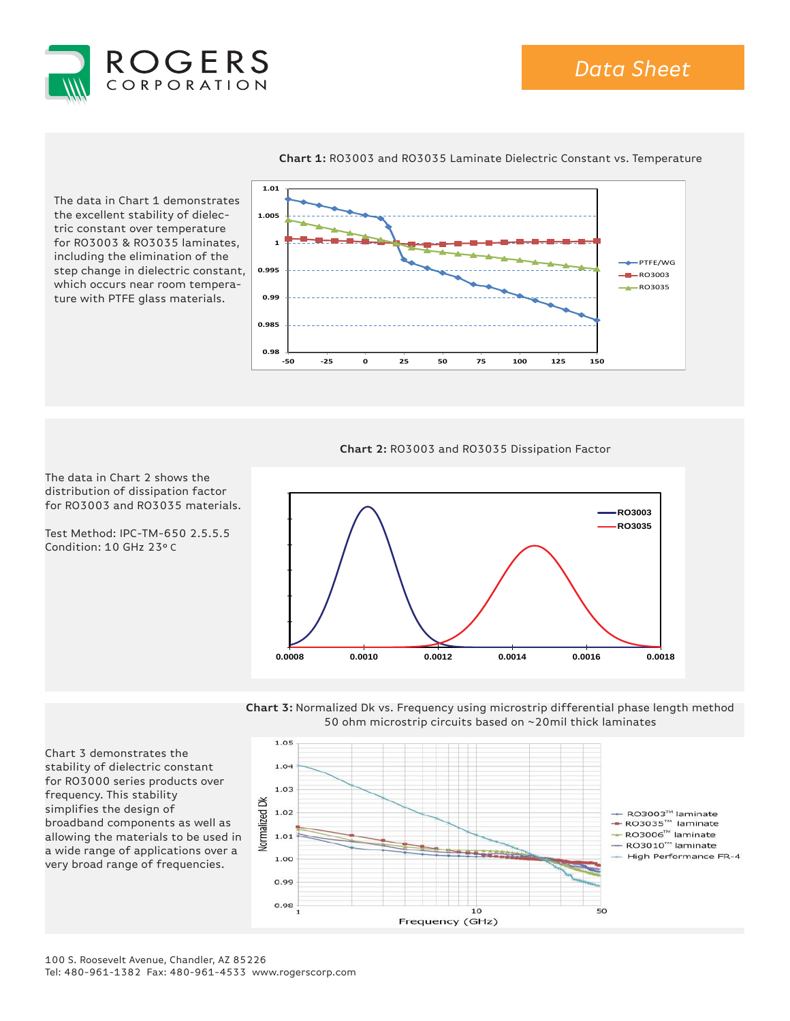





#### **Chart 1:** RO3003 and RO3035 Laminate Dielectric Constant vs. Temperature

**Chart 2:** RO3003 and RO3035 Dissipation Factor

The data in Chart 2 shows the distribution of dissipation factor for RO3003 and RO3035 materials.

Test Method: IPC-TM-650 2.5.5.5 Condition: 10 GHz 23° C



**Chart 3:** Normalized Dk vs. Frequency using microstrip differential phase length method 50 ohm microstrip circuits based on ~20mil thick laminates



Chart 3 demonstrates the stability of dielectric constant for RO3000 series products over frequency. This stability simplifies the design of broadband components as well as allowing the materials to be used in a wide range of applications over a very broad range of frequencies.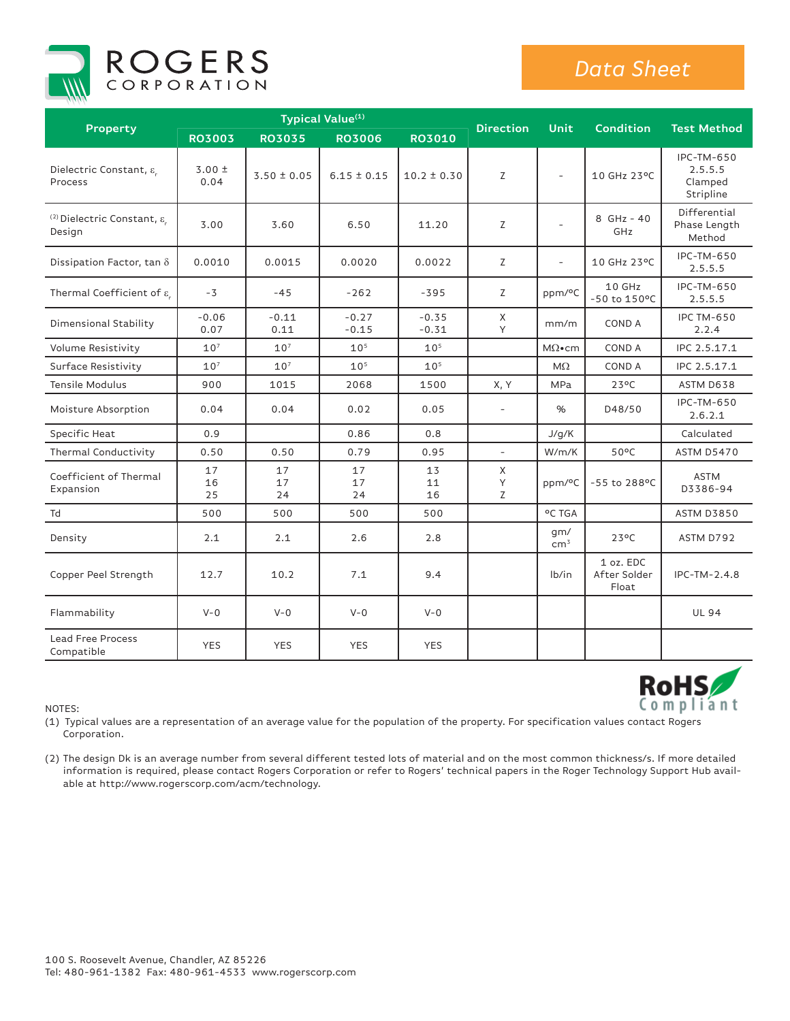

## *Data Sheet*

**RoHS** Compliant

| <b>Property</b>                                             | Typical Value <sup>(1)</sup> |                 |                    |                    |                          |                          |                                    |                                               |
|-------------------------------------------------------------|------------------------------|-----------------|--------------------|--------------------|--------------------------|--------------------------|------------------------------------|-----------------------------------------------|
|                                                             | <b>RO3003</b>                | <b>RO3035</b>   | <b>RO3006</b>      | <b>RO3010</b>      | <b>Direction</b>         | Unit                     | <b>Condition</b>                   | <b>Test Method</b>                            |
| Dielectric Constant, $\varepsilon$<br>Process               | $3.00 \pm$<br>0.04           | $3.50 \pm 0.05$ | $6.15 \pm 0.15$    | $10.2 \pm 0.30$    | Z                        | $\overline{\phantom{a}}$ | 10 GHz 23°C                        | IPC-TM-650<br>2.5.5.5<br>Clamped<br>Stripline |
| <sup>(2)</sup> Dielectric Constant, $\varepsilon$<br>Design | 3.00                         | 3.60            | 6.50               | 11.20              | Z                        |                          | 8 GHz - 40<br>GHz                  | Differential<br>Phase Length<br>Method        |
| Dissipation Factor, tan $\delta$                            | 0.0010                       | 0.0015          | 0.0020             | 0.0022             | Z                        | $\overline{\phantom{a}}$ | 10 GHz 23°C                        | IPC-TM-650<br>2.5.5.5                         |
| Thermal Coefficient of $\varepsilon$                        | $-3$                         | $-45$           | $-262$             | $-395$             | Z                        | ppm/°C                   | 10 GHz<br>-50 to 150°C             | IPC-TM-650<br>2.5.5.5                         |
| Dimensional Stability                                       | $-0.06$<br>0.07              | $-0.11$<br>0.11 | $-0.27$<br>$-0.15$ | $-0.35$<br>$-0.31$ | X<br>Y                   | mm/m                     | COND A                             | <b>IPC TM-650</b><br>2.2.4                    |
| Volume Resistivity                                          | 10 <sup>7</sup>              | 10 <sup>7</sup> | 10 <sup>5</sup>    | 10 <sup>5</sup>    |                          | $M\Omega\bullet$ cm      | COND A                             | IPC 2.5.17.1                                  |
| Surface Resistivity                                         | 10 <sup>7</sup>              | 10 <sup>7</sup> | 10 <sup>5</sup>    | 10 <sup>5</sup>    |                          | $M\Omega$                | COND A                             | IPC 2.5.17.1                                  |
| <b>Tensile Modulus</b>                                      | 900                          | 1015            | 2068               | 1500               | X, Y                     | MPa                      | $23^{\circ}$ C                     | ASTM D638                                     |
| Moisture Absorption                                         | 0.04                         | 0.04            | 0.02               | 0.05               | $\overline{\phantom{a}}$ | %                        | D48/50                             | IPC-TM-650<br>2.6.2.1                         |
| Specific Heat                                               | 0.9                          |                 | 0.86               | 0.8                |                          | J/q/K                    |                                    | Calculated                                    |
| Thermal Conductivity                                        | 0.50                         | 0.50            | 0.79               | 0.95               | $\overline{\phantom{a}}$ | W/m/K                    | $50^{\circ}$ C                     | <b>ASTM D5470</b>                             |
| Coefficient of Thermal<br>Expansion                         | 17<br>16<br>25               | 17<br>17<br>24  | 17<br>17<br>24     | 13<br>11<br>16     | $\mathsf{X}$<br>Υ<br>Z   | ppm/ <sup>o</sup> C      | -55 to 288 °C                      | <b>ASTM</b><br>D3386-94                       |
| Td                                                          | 500                          | 500             | 500                | 500                |                          | °C TGA                   |                                    | <b>ASTM D3850</b>                             |
| Density                                                     | 2.1                          | 2.1             | 2.6                | 2.8                |                          | gm/<br>cm <sup>3</sup>   | $23^{\circ}$ C                     | ASTM D792                                     |
| Copper Peel Strength                                        | 12.7                         | 10.2            | 7.1                | 9.4                |                          | lb/in                    | 1 oz. EDC<br>After Solder<br>Float | IPC-TM-2.4.8                                  |
| Flammability                                                | $V - Q$                      | $V - Q$         | $V - 0$            | $V - Q$            |                          |                          |                                    | <b>UL 94</b>                                  |
| <b>Lead Free Process</b><br>Compatible                      | <b>YES</b>                   | <b>YES</b>      | <b>YES</b>         | <b>YES</b>         |                          |                          |                                    |                                               |

NOTES:

(1) Typical values are a representation of an average value for the population of the property. For specification values contact Rogers Corporation.

(2) The design Dk is an average number from several different tested lots of material and on the most common thickness/s. If more detailed information is required, please contact Rogers Corporation or refer to Rogers' technical papers in the Roger Technology Support Hub available at http://www.rogerscorp.com/acm/technology.